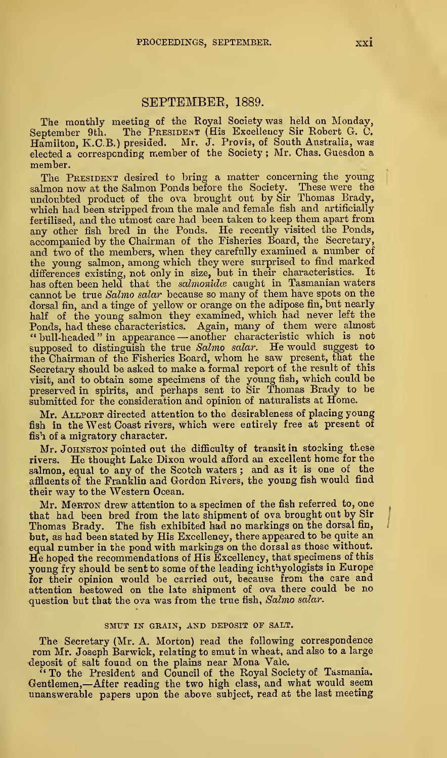# SEPTEMBEE, 1889.

The monthly meeting of the Royal Society was held on Monday,<br>September 9th. The PRESIDENT (His Excellency Sir Robert G. C.<br>Hamilton, K.C.B.) presided. Mr. J. Provis, of South Australia, was<br>elected a corresponding member o member.

The PRESIDENT desired to bring a matter concerning the young sabnon now at the Salmon Ponds before the Society. These were the undoubted product of the ova brought out by Sir Thomas Brady, which had been stripped from the male and female fish and artificially fertilised, and the utmost care had been taken to keep them apart from any other fish bred in the Ponds. He recently visited the Ponds, accompanied by the Chairman of the Fisheries Board, the Secretary, and two of the members, when they carefully examined a number of the young salmon, among which they were surprised to find marked<br>differences existing, not only in size, but in their characteristics. It<br>has often been held that the *salmonidce* caught in Tasmanian waters cannot be true Salmo salar because so many of them have spots on the dorsal fin, and a tinge of yellow or orange on the adipose fin, but nearly half of the young salmon they examined, which had never left the "bull-headed" in appearance — another characteristic which is not supposed to distinguish the true Salmo salar. He would suggest to<br>the Chairman of the Fisheries Board, whom he saw present, that the<br>Secretary should be asked to make a formal report of the result of this visit, and to obtain some specimens of the young fish, which could be preserved in spirits, and perhaps sent to Sir Thomas Brady to be submitted for the consideration and opinion of naturalists at Home.

Mr. Allport directed attention to the desirableness of placing young fish in the West Coast rivers, which were entirely free at present of fish of a migratory character.

Mr. JOHNSTON pointed out the difficulty of transit in stocking these rivers. He thought Lake Dixon would afford an excellent home for the salmon, equal to any of the Scotch waters ; and as it is one of the affluents of the Franklin and Gordon Rivers, the young fish would find their way to the Western Ocean.

Mr. MeRTON drew attention to a specimen of the fish referred to, one that had been bred from the late shipment of ova brought out by Sir Thomas Brady. The fish exhibited had no markings on the dorsal fin, but, as had been stated by His Excellency, there appeared to be quite an He hoped the recommendations of His Excellency, that specimens of this young fry should be sent to some of the leading ichthyologists in Europe for their opinion would be carried out, because from the care and attention bestowed on the late shipment of ova there could be no question but that the ova was from the true fish, Salmo salar.

### SMUT IN GRAIN, AND DEPOSIT OF SALT.

The Secretary (Mr. A. Morton) read the following correspondence rom Mr. Joseph Barwick, relating to smut in wheat, and also to a large deposit of salt found on the plains near Mona Vale.

<sup>7</sup> To the President and Council of the Royal Society of Tasmania. Gentlemen,—After reading the two high class, and what would seem unanswerable papers upon the above subject, read at the last meeting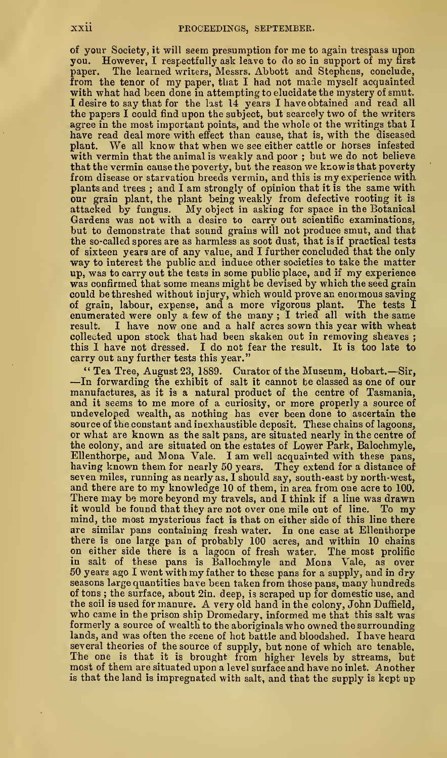of your Society, it will seem presumption for me to again trespass upon you. However, I respectfully ask leave to do so in support of my first<br>paper. The learned writers, Messrs. Abbott and Stephens, conclude, The learned writers, Messrs. Abbott and Stephens, conclude, from the tenor of my paper, that <sup>I</sup> had not made myself acquainted with what had been done in attempting to elucidate the mystery of smut. I desire to say that for the last 14 years I have obtained and read all the papers I could find upon the subject, but scarcely two of the writers agree in the most important points, and the whole ot the writings that I have read deal more with effect than cause, that is, with the diseased plant. We all know that when we see either cattle or horses infested with vermin that the animal is weakly and poor ; but we do not believe<br>that the vermin cause the poverty, but the reason we knowis that poverty from disease or starvation breeds vermin, and this is my experience with plants and trees ; and I am strongly of opinion that it is the same with our grain plant, the plant being weakly from defective rooting it is attacked by fungus. My object in asking for space in the Botanical Gardens was not with a desire to carry out scientific examinations, but to demonstrate that sound grains will not produce smut, and that the so-called spores are as harmless as soot dust, that is if practical tests of sixteen years are of any value, and I further concluded that the only way to interest the public and induce other societies to take the matter up, was to carry out the tests in some public place, and ifmy experience was confirmed that some means might be devised by which the seed grain could be threshed without injury, which would prove an enormous saving of grain, labour, expense, and a more vigorous plant. The tests I enumerated were only a few of the many ; I tried all with the same result. I have now one and a half acres sown this year with wheat collected upon stock that had been skaken out in removing sheaves ; this I have not dressed. I do not fear the result. It is too late to carry out any further tests this year."

" Tea Tree, August 23, 1889. Curator of the Museum, Bobart.— Sir, —In forwarding the exhibit of salt it cannot be classed as one of our manufactures, as it is a natural product of the centre of Tasmania, and it seems to me more of a curiosity, or more properly <sup>a</sup> source of undeveloped wealth, as nothing has ever been done to ascertain the source of the constant and inexhaustible deposit. These chains of lagoons, or what are known as the salt pans, are situated nearly in the centre of the colony, and are situated on the estates of Lower Park, Balochmyle, EUenthorpe, and Mona Vale. <sup>I</sup> am well acquainted with these pans, having known them for nearly 50 years. They extend for a distance of seven miles, running as nearly as. I should say, south-east by north-west,^ and there are to my knowledge <sup>10</sup> of them, in area from one acre to 100. There may be more beyond my travels, and <sup>I</sup> think if a line was drawn it would be found that they are not over one mile out of line. To my mind, the most mysterious fact is that on either side of this line there are similar pans containing fresh water. In one case at Ellenthorpe<br>there is one large pan of probably 100 acres, and within 10 chains<br>on either side there is a lagoon of fresh water. The most prolific in salt of these pans is Ballochmyle and Mona Vale, as over 50 years ago <sup>I</sup> went with my father to these pans for <sup>a</sup> supply, and in dry seasons large quantities have been taken from those pans, many hundreds of tons; the surface, about 2in. deep, is scraped up for domestic use, and the soil is used for manure. A very old hand in the colony, John Duffield, who came in the prison ship Dromedary, informed me that this salt was formerly a source of wealth to the aboriginals who owned the surrounding lands, and was often the scene of hot battle and bloodshed. I have heard several theories of the source of supply, but none of which are tenable. The one is that it is brought from higher levels by streams, but most of them are situated upon <sup>a</sup> level surface and have no inlet. Another is that the land is impregnated with salt, and that the supply is kept up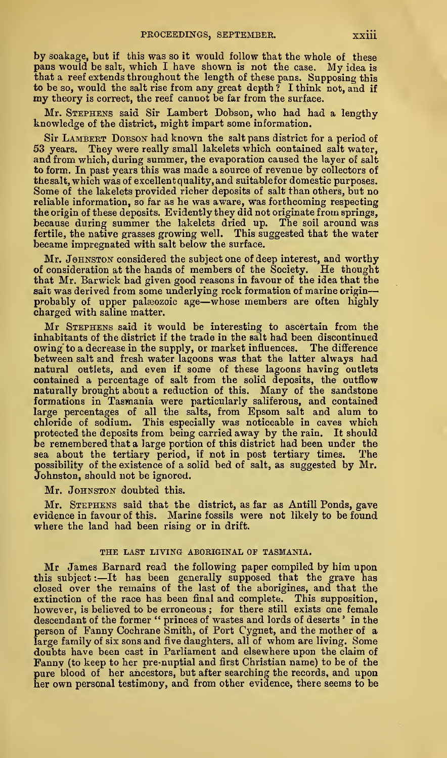by soakage, but if this was so it would follow that the whole of these pans would be salt, which <sup>I</sup> have shown is not the case. My idea is that a reef extends throughout the length of these pans. Supposing this to be so, would the salt rise from any great depth? I think not, and if my theory is correct, the reef cannot be far from the surface.

Mr. Stephens said Sir Lambert Dobson, who had had a lengthy knowledge of the district, might impart some information.

Sir LAMBERT DOBSON had known the salt pans district for a period of 53 years. They were really small lakelets which contained salt water, and from which, during summer, the evaporation caused the layer of salt to form. In past years this was made a source of revenue by collectors of thesalt, which was of exoellentquality,and suitablefor domestic purposes. Some of the lakelets provided richer deposits of salt than others, but no reliable information, so far as he was aware, was forthcoming respecting<br>the origin of these deposits. Evidently they did not originate from springs, because during summer the lakelets dried up. The soil around was fertile, the native grasses growing well. This suggested that the water became impregnated with salt below the surface.

Mr. JOHNSTON considered the subject one of deep interest, and worthy of consideration at the hands of members of the Society. He thought that Mr. Barwick had given good reasons in favour of the idea that the salt was derived from some underlying rock formation of marine origin-probably of upper palæozoic age—whose members are often highly charged with saline matter.

Mr STEPHENS said it would be interesting to ascertain from the inhabitants of the district if the trade in the salt had been discontinued owing to a decrease in the supply, or market influences. The difference between salt and fresh water lagoons was that the latter always had natural outlets, and even if some of these lagoons having outlets contained a percentage of salt from the solid deposits, the outflow naturally brought about a reduction of this. Many of the sandstone formations in Tasmania were particularly saliferous, and contained large percentages of all the salts, from Epsom salt and alum to chloride of sodium. This especially was noticeable in caves which protected the deposits from being carried away by the rain. It should be remembered that a large portion of this district had been under the sea about the tertiary period, if not in post tertiary times. The possibility of the existence of a solid bed of salt, as suggested by Mr. Johnston, should not be ignored.

Mr. JOHNSTON doubted this.

Mr. Stephens said that the district, as far as Antill Ponds, gave evidence in favour of this. Marine fossils were not likely to be found where the land had been rising or in drift.

# THE LAST LIVING ABORIGINAL OF TASMANIA.

Mr James Barnard read the following paper compiled by him upon this subject : —It has been generally supposed that the grave has closed over the remains of the last of the aborigines, and that the extinction of the race has been final and complete. This supposition, however, is believed to be erroneous; for there still exists one female<br>descendant of the former "princes of wastes and lords of deserts ' in the<br>person of Fanny Cochrane Smith, of Port Cygnet, and the mother of a<br>large fa doubts have been cast in Parliament and elsewhere upon the claim of<br>Fanny (to keep to her pre-nuptial and first Christian name) to be of the<br>pure blood of her ancestors, but after searching the records, and upon<br>her own pe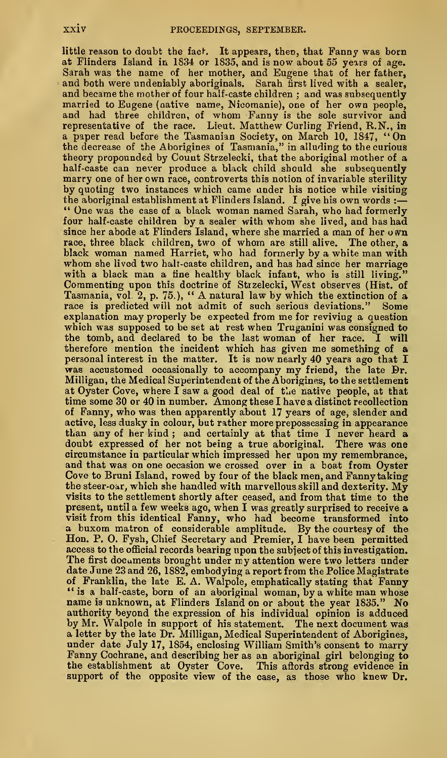little reason to doubt the fact. It appears, then, that Fanny was born at Flinders Island in 1834 or 1835, and is now about 55 years of age. Sarah was the name of her mother, and Eugene that of her father, and both were undeniably aboriginals. Sarah first lived with a sealer, and became the mother of four half-caste children ; and was subsequently married to Eugene (native name, Wicomanie), one of her own people, and had three children, of whom Fanny is the sole survivor and representative of the race. Lieut. Matthew Curling Friend, R.N., in a paper read before the Tasmanian Society, on March 10, 1847, "On the decrease of the Aborigines of Tasmania," in alluding to the curious theory propounded by Count Strzelecki, that the aboriginal mother of a half-caste can never produce a black child should she subsequently marry one of her own race, controverts this notion of invariable sterility by quoting two instances which came under his notice while visiting the aboriginal establishment at Flinders Island. I give his own words : " One was the case of a black woman named Sarah, who had formerly four half-caste children by <sup>a</sup> sealer with whom she lived, and has had since her abode at Flinders Island, where she married a man of her own race, three black children, two of whom are still alive. The other, a black woman named Harriet, who had formerly by a white man with whom she lived two halt-caste children, and has had since her marriage with a black man a fine healthy black infant, who is still living. Commenting upon this doctrine of Strzelecki, West observes (Hist, of Tasmania, vol. 2, p. 75.), " A natural law by which the extinction of <sup>a</sup> race is predicted will not admit of such serious deviations." Some explanation may properly be expected from me for reviving a question which was supposed to be set at rest when Truganini was consigned to the tomb, and declared to be the last woman of her race. I will therefore mention the incident which has given me something of a personal interest in the matter. It is now nearly 40 years ago that I was accustomed occasionally to accompany my friend, the late Br. Milligan, the Medical Superintendent of the Aborigines, to the settlement at Oyster Cove, where I saw a good deal of the native people, at that time some 30 or 40 in number. Among these <sup>I</sup> have <sup>a</sup> distinct recollection of Fanny, who was then apparently about 17 years of age, slender and active, less dusky in colour, but rather more prepossessing in appearance than any of her kind ; and certainly at that time I never heard a doubt expressed of her not being a true aboriginal. There was one circumstance in particular which impressed her upon my remembrance, and that was on one occasion we crossed over in a boat from Oyster Cove to Bruni Island, rowed by four of the black men, and Fanny taking the steer-oar, which she handled with marvellous skill and dexterity. My visits to the settlement shortly after ceased, and from that time to the present, until a few weeks ago, when I was greatly surprised to receive a visit from this identical Fanny, who had become transformed into<br>a buxom matron of considerable amplitude. By the courtesy of the<br>Hon. P. O. Fysh, Chief Secretary and Premier, I have been permitted access to the official records bearing upon the subject of this investigation.<br>The first documents brought under my attention were two letters under date June 23 and 26, 1882, embodying a report from the Police Magistrate<br>of Franklin, the late E. A. Walpole, emphatically stating that Fanny<br>"is a half-caste, born of an aboriginal woman, by a white man whose<br>name is unkn authority beyond the expression of his individual opinion is adduced by Mr. Walpole in support of his statement. The next document was a letter by the late Dr. Milligan, Medical Superintendent of Aborigines, Fanny Cochrane, and describing her as an aboriginal girl belonging to the establishment at Oyster Cove. This aftords strong evidence in support of the opposite view of the case, as those who knew Dr.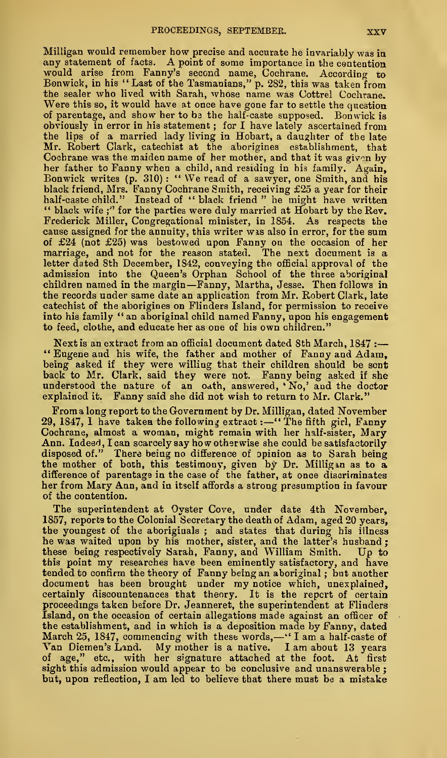Milligan would remember how precise and accurate he invariably was in<br>any statement of facts. A point of some importance in the contention<br>would arise from Fanny's second name, Cochrane. According to<br>Bonwick, in his "Last the sealer who lived with Sarah, whose name was Cottrel Cochrane. Were this so, it would have at once have gone far to settle the question of parentage, and show her to ba the half-caste supposed. Bonwick is obviously in error in his statement ; for I have lately ascertained from the lips of a married lady living in Hobart, a daughter of the late Mr. Robert Clark, catechist at the aborigines establishment, that Cochrane was the maiden name of her mother, and that it was givon by her father to Fanny when a child, and residing in his family. Again, Bonwick writes (p. 310) : " We read of <sup>a</sup> sawyer, one Smith, and his black friend, Mrs. Fanny Cochrane Smith, receiving £25 a year for their " black wife;" for the parties were duly married at Hobart by the Rev. Frederick Miller, Congregational minister, in 1854. As respects the cause assigned for the annuity, this writer wis also in error, for the sum of £24 (not £25) was bestowed upon Fanny on the occasion of her marriage, and not for the reason stated. The next document is a letter dated 8th December, 1842, conveying the official approval of the admission into the Queen's Orphan School of the three aboriginal children named in the margin—Fanny, Martha, Jesse. Then follows in the records under same date an application from Mr. Robert Clark, late catechist of the aborigines on Flinders Island, for permission to receive into his family " an aboriginal child named Fanny, upon his engagement to feed, clothe, and educate her as one of his own children."

Next is an extract from an official document dated 8th March,  $1847$  :---" Eugene and his wife, the father and mother of Fanny and Adam, being asked if they were willing that their children should be sent back to Mr. Clark, said they were not. Fanny being asked if she understood the nature of an oath, answered, 'No,' and the doctor explained it. Fanny said she did not wish to return to Mr. Clark."

From a long report to the Government by Dr. Milligan, dated November 29, 1847, I have taken the following extract :- "The fifth girl, Fanny Cochrane, almost a woman, might remain with her half-sister, Mary Ann. Indeed, I can scarcely say how otherwise she could be satisfactorily disposed of." There being no difference of opinion as to Sarah being<br>the mother of both, this testimony, given by Dr. Milligan as to a,<br>difference of parentage in the case of the father, at once discriminates her from Mary Ann, and in itself affords a strong presumption in favour of the contention.

The superintendent at Oyster Cove, under date 4th November, 1857, reports to the Colonial Secretary the death of Adam, aged 20 years, the youngest of the aboriginals ; and states that during his illness<br>he was waited upon by his mother, sister, and the latter's husband ; these being respectively Sarah, Fanny, and William Smith. Up to this point my researches have been eminently satisfactory, and have tended to confirm the theory of Fanny being an aboriginal ; but another document has been brought under my notice which, unexplained, certainly discountenances that theory. It is the report of certain proceedmgs taken before Dr. Jeanneret, the superintendent at Flinders Island, on the occasion of certain allegations made against an officer of the establishment, and in which is a deposition made by Fanny, dated March 25, 1847, commencing with these words, —" <sup>I</sup> am <sup>a</sup>half-caste of Van Diemen's Land. My mother is <sup>a</sup> native. <sup>I</sup> am about <sup>13</sup> years of age," etc., with her signature attached at the foot. At first sight this admission would appear to be conclusive and unanswerable ; but, upon reflection, <sup>I</sup> am led to believe that there must be <sup>a</sup> mistake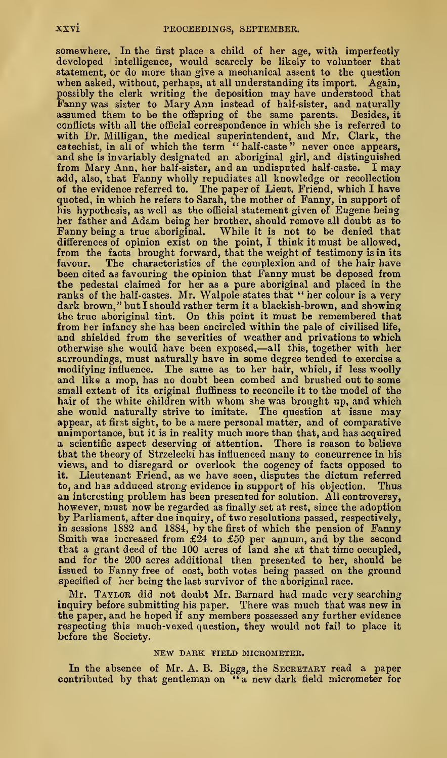somewhere. In the first place a child of her age, with imperfectly developed intelligence, would scarcely be likely to volunteer that statement, or do more than give a mechanical assent to the question when asked, without, perhaps, at all understanding its import. Again, possibly the clerk writing the deposition may have understood that Fanny was sister to Mary Ann instead of half-sister, and naturally assumed them to be the offspring of the same parents. Besides, it conflicts with all the official correspondence in which she is referred to with Dr. Milligan, the medical superintendent, and Mr. Clark, the catechist, in all of which the term " half-caste " never once appears, and she is invariably designated an aboriginal girl, and distinguished from Mary Ann, her half-sister, and an undisputed half-caste. <sup>I</sup> may add, also, that Fanny wholly repudiates all knowledge or recollection<br>of the evidence referred to. The paper of Lieut. Friend, which I have<br>quoted, in which he refers to Sarah, the mother of Fanny, in support of<br>his hypoth her father and Adam being her brother, should remove all doubt as to Fanny being <sup>a</sup> true aboriginal. While it is not to be denied that differences of opinion exist on the point, I think it must be allowed, from the facts brought forward, that the weight of testimony is in its favour. The characteristics of the complexion and of the hair have been cited as favouring the opinion that Fanny must be deposed from the pedestal claimed for her as a pure aboriginal and placed in the ranks of the half-castes. Mr. Walpole states that " her colour is a very dark brown," but I should rather term it a blackish-brown, and showing the true aboriginal tint. On this point it must be remembered that from her infancy she has been encircled within the pale of civilised life, and shielded from the severities of weather and privations to which otherwise she would have been exposed,—all this, together with her surroundings, must naturally have in some degree tended to exercise a modifyina influence. The same as to her hair, which, if less woolly and like a mop, has no doubt been combed and brushed out to some small extent of its original fluffiness to reconcile it to the model of the hair of the white children with whom she was brought up, and which she would naturally strive to imitate. The question at issue may appear, at fitst sight, to be a mere personal matter, and of comparative unimportance, but it is in reality much more than that, and has acquired a scientific aspect deserving of attention. There is reason to believe that the theory of Strzelecki has influenced many to concurrence in his views, and to disregard or overlook the cogency of facts opposed to it. Lieutenant Friend, as we have seen, disputes the dictum referred to, and has adduced strong evidence in support of his objection. Thus an interesting problem has been presented for solution. All controversy, however, must now be regarded as finally set at rest, since the adoption by Parliament, after due inquiry, of two resolutions passed, respectively, in sessions 1882 and 1884, by the first of which the pension of Fanny Smith was increased from £24 to £50 per annum, and by the second that a grant deed of the 100 acres of land she at that time occupied, and for the 200 acres additional then presented to her, should be issued to Fanny free of cost, both votes being passed on the ground specified of her being the last survivor of the aboriginal race.

Mr. TAYLOR did not doubt Mr. Barnard had made very searching inquiry before submitting his paper. There was much that was new in the paper, and he hoped if any members possessed any further evidence respecting this much-vexed question, they would not fail to place it before the Society.

### NEW DARK YIELD MICROMETER,

In the absence of Mr. A. B. Biggs, the SECRETARY read a paper contributed by that gentleman on "a new dark field micrometer for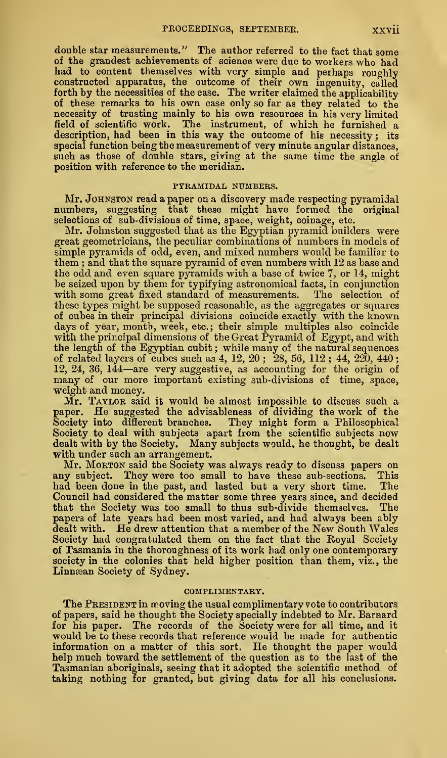double star measurements." The author referred to the fact that some of the grandest achievements of science were due to workers who had of the grandest achievements of science were due to workers who had had to content themselves with very simple and perhaps roughly constructed apparatus, the outcome of their own ingenuity, called forth by the necessities of the case. The writer claimed the applicability of these remarks to his own case only so far as they related to the necessity of trusting mainly to his own resources in his very limited field of scientific work. The instrument, of which he furnished a description, had been in this way the outcome of his necessity ; its special function being the measurement of very minute angular distances, such as those of double stars, giving at the same time the angle of position with reference to the meridian.

#### PYRAMIDAL NUMBERS.

Mr. JOHNSTON read a paper on a discovery made respecting pyramidal numbers, suggesting that these might have formed the original selections of sub-divisions of time, space, weight, coinage, etc.

Mr. Johnston suggested that as the Egyptian pyramid builders were great geometricians, the peculiar combinations of numbers in models of simple pyramids of odd, even, and mixed numbers would be familiar to them ; and that the square pyramid of even numbers with 12 as base and the odd and even square pyramids with a base of twice 7, or 14, might be seized upon by them for typifying astronomical facts, in conjunction<br>with some great fixed standard of measurements. The selection of with some great fixed standard of measurements. these types might be supposed reasonable, as the aggregates or squares of cubes in their principal divisions coincide exactly with the known days of year, month, week, etc.; their simple multiples also coincide<br>with the principal dimensions of the Great Pyramid of Egypt, and with the length of the Egyptian cubit ; while many of the natural sequences of related layers of cubes such as 4, 12, 20 ; 28, 56, 112 ; 44, 220, 440 ; 12, 24, 36, <sup>144</sup>—are very suggestive, as accounting for the origin of many of our more important existing sub- divisions of time, space, weight and money.

Mr. TAYLOR said it would be almost impossible to discuss such a paper. He suggested the advisableness of dividing the work of the Society into difierent branches. They might form a Philosophical Society to deal with subjects apart from the scientific subjects now dealt with by the Society. Many subjects would, he thought, be dealt with under such an arrangement.

Mr. MORTON said the Society was always ready to discuss papers on any subject. They were too small to have these sub-sections. This had been done in the past, and lasted but a very short time. The had been done in the past, and lasted but a very short time. Council had considered the matter some three years since, and decided that the Society was too small to thus sub-divide themselves. The papers of late years had been most varied, and had always been ably dealt with. He drew attention that <sup>a</sup> member of the New South Wales Society had congratulated them on the fact that the Royal Scciety of Tasmania in the thoroughness of its work had only one contemporary society in the colonies that held higher position than them, viz., the Linnæan Society of Sydney.

### COMPLIMENTARY.

The PRESIDENT in moving the usual complimentary vote to contributors of papers, said he thought the Society specially indebted to Mr. Barnard for his paper. The records of the Society were for all time, and it would be to these records that reference would be made for authentic information on <sup>a</sup> matter of this sort. He thought the paper would help much toward the settlement of the question as to the last of the Tasmanian aboriginals, seeing that it adopted the scientific method of taking nothing for granted, but giving data for all his conclusions.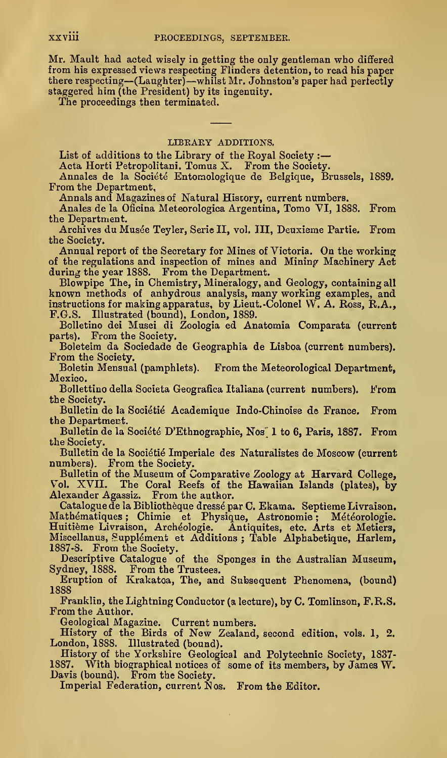Mr. Mault had acted wisely in getting the only gentleman who differed from his expressed views respecting Flinders detention, to read his paper there respecting—(Laughter) —whilst Mr. Johnston's paper had pertectly staggered him (the President) by its ingenuity.

The proceedings then terminated.

## LIBRARY ADDITIONS.

List of additions to the Library of the Royal Society :

Acta Horti Petropolitani. Tomus X. From the Society.

Annales de la Société Entomologique de Belgique, Brussels, 1889. From the Department,

Annals and Magazines of Natural History, current numbers.

Anales de la Oficina Meteorologica Argentina, Tomo VI, 1888. From the Department.

Archives du Mus^e Teyler, Serie II, vol. Ill, Deuxieme Partie. From the Society.

Annual report of the Secretary for Mines of Victoria. On the working of the regulations and inspection of mines and Mining Machinery Act during the year 1888. From the Department.

Blowpipe The, in Chemistry, Mineralogy, and Geology, containing all known methods of anhydrous analysis, many working examples, and instructions for making apparatus, by Lieut. -Colonel W. A. Ross, R.A., F.G.S. Illustrated (bound), London, 1889.

Bolletino dei Musei di Zoologia ed Anatomia Comparata (current parts). From the Society.

Boleteim da Sociedade de Geographia de Lisboa (current numbers). From the Society.

Boletin Mensual (pamphlets). From the Meteorological Department, Mexico.

Bollettino della Societa Geografica Italiana (current numbers). From the Society.

Bulletin de la Soci^ti^ Academique Indo-Chinoise de France. From the Department.

Bulletin de la Société D'Ethnographie, Nos 1 to 6, Paris, 1887. From the Society.

Bulletin de la Sociétié Imperiale des Naturalistes de Moscow (current numbers). From the Society.

Bulletin of the Museum of Comparative Zoology at Harvard College, Vol. XVII. The Coral Reefs of the Hawaiian Islands (plates), by Alexander Agassiz. From the author.

Catalogue de la Bibliothèque dressé par C. Ekama. Septieme Livraison. Mathématiques ; Chimie et Physique, Astronomie ; Météorologie. Huitième Livraison, Archéologie. Antiquites, etc. Arts et Metiers, Miscellanus, Supplément et Additions ; Table Alphabetique, Harlem, 1887-8. From the Society.

Descriptive Catalogue of the Sponges in the Australian Museum, Sydney, 1888. From the Trustees.

Eruption of Krakatoa, The, and Subsequent Phenomena, (bound) 1888

Franklin, the Lightning Conductor (a lecture), by C. Tomlinson, F.R.S, From the Author.

Geological Magazine. Current numbers.

History of the Birds of New Zealand, second edition, vols. 1, 2. London, 1888. Illustrated (bound).

History of the Yorkshire Geological and Polytechnic Society, 1837- With biographical notices of some of its members, by James W. Davis (bound). From the Society.

Imperial Federation, current Nos. From the Editor.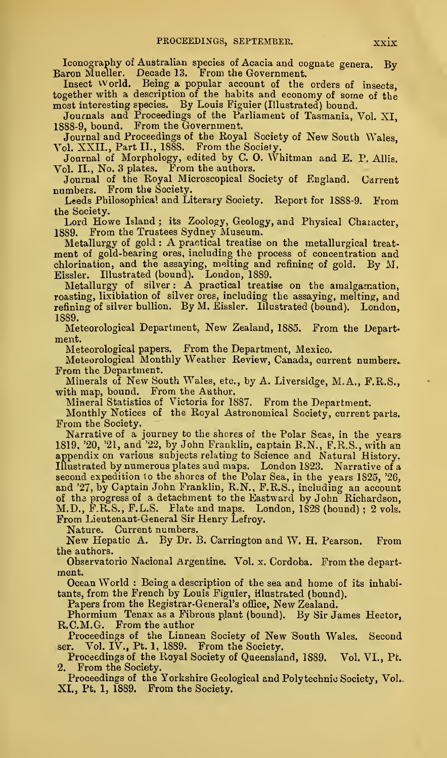Iconography of Australian species of Acacia and cognate genera. By-<br>Baron Mueller. Decade 13. From the Government.<br>Insect World. Being a popular account of the orders of insects.

Insect World. Being a popular account of the orders of insects, together with <sup>a</sup> description of the habits and economy of some of the most interesting species. By Louis Figuier (Illustrated) bound.

Journals and Proceedings of the Parliament of Tasmania, Vol. XI, 1888-9, bound. From the Government.

Journal and Proceedings of the Royal Society of New South Wales, Vol. XXII., Part II., 1888. From the Society.

Journal of Morphology, edited by C. 0. Whitman and E. P. AUis. Vol. II., No. 3 plates. From the authors.

Journal of the Royal Microscopical Society of England. Carrent numbers. From the Society,

Leeds Philosophical and Literary Society. Report for 1888-9. From the Society.

Lord Howe Island ; its Zoology, Geology, and Physical Character, 1889. From the Trustees Sydney Museum.

Metallurgy of gold : A practical treatise on the metallurgical treat ment of gold-bearing ores, including the process of concentration and chlorination, and the assaying, melting and refining of gold. By M.

Eissler. Illustrated (bound). Loudou, 1889. Metallurgy of silver : A practical treatise on the amalgamation, roasting, lixibiation of silver ores, including the assaying, melting, and refining of silver bullion. By M. Eissler. Illustrated (bound). London, 1889.

Meteorological Department, New Zealand, 1885. From the Depart ment.

Meteorological papers. From the Department, Mexico.

Meteorological Monthly Weather Review, Canada, current numbers- From the Department.

Minerals of New South Wales, etc., by A. Liversidge, M.A., F.R.S., with map, bound. From the Author.

Mineral Statistics of Victoria for 1887. From the Department.

Monthly Notices of the Royal Astronomical Society, current parts. From the Society.

Narrative of a journey to the shores of the Polar Seas, in the years 1819. '20, '21, and '22, by John Franklin, captain B.N., F.R.S., with an appendix on various subjects relating to Science and Natural History. Illustrated by numerous plates and maps. London 1823. Narrative of a second expedition to the shores of the Polar Sea, in the years 1825, '26, and '27, by Captain John Franklin, R.N., F.R.S. , including an account of the progress of a detachment to the Eastward by John Richardson, M.D., F.R.S., F.L.S. Flate and maps. London, 1828 (bound) ; 2 vols.<br>From Lieutenant-General Sir Henry Lefroy.<br>Nature. Current numbers.

New Hepatic A. By Dr. B. Carrington and W. H. Pearson. From the authors.

Observatorio Nacional Argentine. Vol. x. Cordoba. From the depart ment.

Ocean World : Being <sup>a</sup> description of the sea and home of its inhabitants, from the French by Louis Figuier, illustrated (bound).

Phormium Tenax as a Fibrous plant (bound). By Sir James Hector, R.C.M.G. From the author

Proceedings of the Linnean Society of New South Wales. Second ser. Vol. IV., Pt. 1, 1889. From the Society.

Proceedings of the Royal Society of Queensland, 1889. Vol. VL, Pt. 2. From the Society.

Proceedings of the Yorkshire Geological and Polytechnic Society, Vol., XI., Pt. 1, 1889. From the Society.